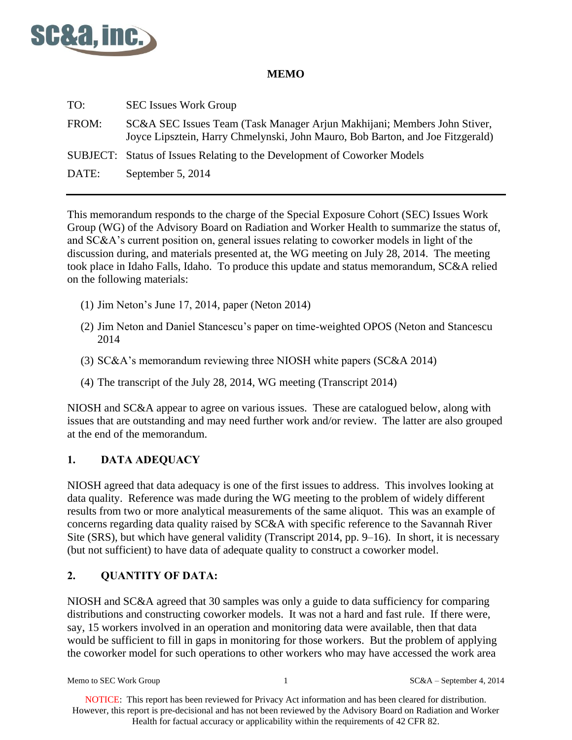

### **MEMO**

| TO:   | <b>SEC Issues Work Group</b>                                                                                                                               |
|-------|------------------------------------------------------------------------------------------------------------------------------------------------------------|
| FROM: | SC&A SEC Issues Team (Task Manager Arjun Makhijani; Members John Stiver,<br>Joyce Lipsztein, Harry Chmelynski, John Mauro, Bob Barton, and Joe Fitzgerald) |
|       | SUBJECT: Status of Issues Relating to the Development of Coworker Models                                                                                   |
| DATE: | September 5, 2014                                                                                                                                          |
|       |                                                                                                                                                            |

This memorandum responds to the charge of the Special Exposure Cohort (SEC) Issues Work Group (WG) of the Advisory Board on Radiation and Worker Health to summarize the status of, and SC&A's current position on, general issues relating to coworker models in light of the discussion during, and materials presented at, the WG meeting on July 28, 2014. The meeting took place in Idaho Falls, Idaho. To produce this update and status memorandum, SC&A relied on the following materials:

- (1) Jim Neton's June 17, 2014, paper (Neton 2014)
- (2) Jim Neton and Daniel Stancescu's paper on time-weighted OPOS (Neton and Stancescu 2014
- (3) SC&A's memorandum reviewing three NIOSH white papers (SC&A 2014)
- (4) The transcript of the July 28, 2014, WG meeting (Transcript 2014)

NIOSH and SC&A appear to agree on various issues. These are catalogued below, along with issues that are outstanding and may need further work and/or review. The latter are also grouped at the end of the memorandum.

### **1. DATA ADEQUACY**

NIOSH agreed that data adequacy is one of the first issues to address. This involves looking at data quality. Reference was made during the WG meeting to the problem of widely different results from two or more analytical measurements of the same aliquot. This was an example of concerns regarding data quality raised by SC&A with specific reference to the Savannah River Site (SRS), but which have general validity (Transcript 2014, pp. 9–16). In short, it is necessary (but not sufficient) to have data of adequate quality to construct a coworker model.

### **2. QUANTITY OF DATA:**

NIOSH and SC&A agreed that 30 samples was only a guide to data sufficiency for comparing distributions and constructing coworker models. It was not a hard and fast rule. If there were, say, 15 workers involved in an operation and monitoring data were available, then that data would be sufficient to fill in gaps in monitoring for those workers. But the problem of applying the coworker model for such operations to other workers who may have accessed the work area

Memo to SEC Work Group 1 SC&A – September 4, 2014

NOTICE: This report has been reviewed for Privacy Act information and has been cleared for distribution. However, this report is pre-decisional and has not been reviewed by the Advisory Board on Radiation and Worker Health for factual accuracy or applicability within the requirements of 42 CFR 82.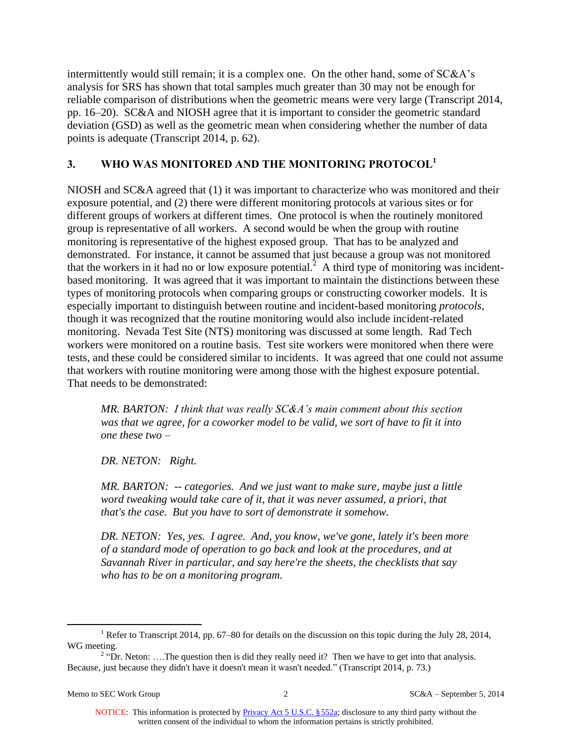intermittently would still remain; it is a complex one. On the other hand, some of SC&A's analysis for SRS has shown that total samples much greater than 30 may not be enough for reliable comparison of distributions when the geometric means were very large (Transcript 2014, pp. 16–20). SC&A and NIOSH agree that it is important to consider the geometric standard deviation (GSD) as well as the geometric mean when considering whether the number of data points is adequate (Transcript 2014, p. 62).

### **3. WHO WAS MONITORED AND THE MONITORING PROTOCOL<sup>1</sup>**

NIOSH and SC&A agreed that (1) it was important to characterize who was monitored and their exposure potential, and (2) there were different monitoring protocols at various sites or for different groups of workers at different times. One protocol is when the routinely monitored group is representative of all workers. A second would be when the group with routine monitoring is representative of the highest exposed group. That has to be analyzed and demonstrated. For instance, it cannot be assumed that just because a group was not monitored that the workers in it had no or low exposure potential.<sup>2</sup> A third type of monitoring was incidentbased monitoring. It was agreed that it was important to maintain the distinctions between these types of monitoring protocols when comparing groups or constructing coworker models. It is especially important to distinguish between routine and incident-based monitoring *protocols*, though it was recognized that the routine monitoring would also include incident-related monitoring. Nevada Test Site (NTS) monitoring was discussed at some length. Rad Tech workers were monitored on a routine basis. Test site workers were monitored when there were tests, and these could be considered similar to incidents. It was agreed that one could not assume that workers with routine monitoring were among those with the highest exposure potential. That needs to be demonstrated:

*MR. BARTON: I think that was really SC&A's main comment about this section was that we agree, for a coworker model to be valid, we sort of have to fit it into one these two –*

*DR. NETON: Right.*

*MR. BARTON: -- categories. And we just want to make sure, maybe just a little*  word tweaking would take care of it, that it was never assumed, a priori, that *that's the case. But you have to sort of demonstrate it somehow.*

*DR. NETON: Yes, yes. I agree. And, you know, we've gone, lately it's been more of a standard mode of operation to go back and look at the procedures, and at Savannah River in particular, and say here're the sheets, the checklists that say who has to be on a monitoring program.*

 $\overline{a}$ 

<sup>&</sup>lt;sup>1</sup> Refer to Transcript 2014, pp. 67–80 for details on the discussion on this topic during the July 28, 2014, WG meeting.

<sup>&</sup>lt;sup>2</sup> "Dr. Neton: ....The question then is did they really need it? Then we have to get into that analysis. Because, just because they didn't have it doesn't mean it wasn't needed." (Transcript 2014, p. 73.)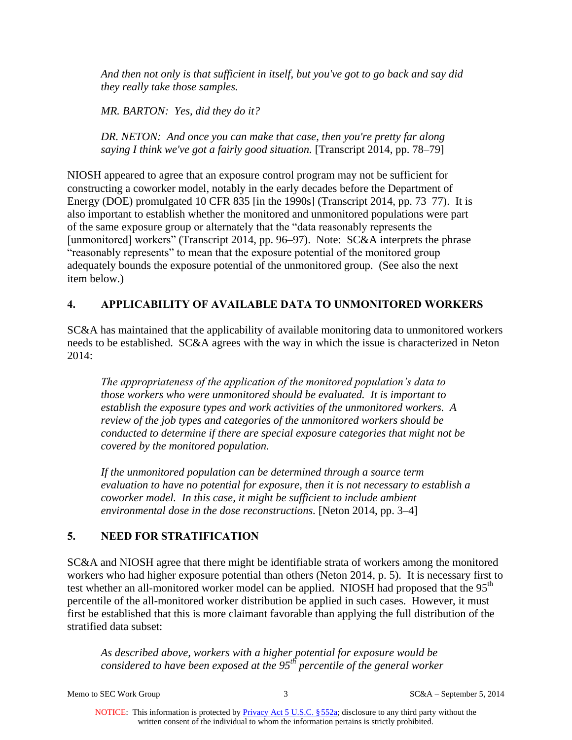*And then not only is that sufficient in itself, but you've got to go back and say did they really take those samples.*

*MR. BARTON: Yes, did they do it?*

*DR. NETON: And once you can make that case, then you're pretty far along saying I think we've got a fairly good situation.* [Transcript 2014, pp. 78–79]

NIOSH appeared to agree that an exposure control program may not be sufficient for constructing a coworker model, notably in the early decades before the Department of Energy (DOE) promulgated 10 CFR 835 [in the 1990s] (Transcript 2014, pp. 73–77). It is also important to establish whether the monitored and unmonitored populations were part of the same exposure group or alternately that the "data reasonably represents the [unmonitored] workers" (Transcript 2014, pp. 96–97). Note: SC&A interprets the phrase "reasonably represents" to mean that the exposure potential of the monitored group adequately bounds the exposure potential of the unmonitored group. (See also the next item below.)

### **4. APPLICABILITY OF AVAILABLE DATA TO UNMONITORED WORKERS**

SC&A has maintained that the applicability of available monitoring data to unmonitored workers needs to be established. SC&A agrees with the way in which the issue is characterized in Neton 2014:

*The appropriateness of the application of the monitored population's data to those workers who were unmonitored should be evaluated. It is important to establish the exposure types and work activities of the unmonitored workers. A review of the job types and categories of the unmonitored workers should be conducted to determine if there are special exposure categories that might not be covered by the monitored population.*

*If the unmonitored population can be determined through a source term evaluation to have no potential for exposure, then it is not necessary to establish a coworker model. In this case, it might be sufficient to include ambient environmental dose in the dose reconstructions.* [Neton 2014, pp. 3–4]

# **5. NEED FOR STRATIFICATION**

SC&A and NIOSH agree that there might be identifiable strata of workers among the monitored workers who had higher exposure potential than others (Neton 2014, p. 5). It is necessary first to test whether an all-monitored worker model can be applied. NIOSH had proposed that the 95<sup>th</sup> percentile of the all-monitored worker distribution be applied in such cases. However, it must first be established that this is more claimant favorable than applying the full distribution of the stratified data subset:

*As described above, workers with a higher potential for exposure would be considered to have been exposed at the 95th percentile of the general worker* 

Memo to SEC Work Group 3 3 SC&A – September 5, 2014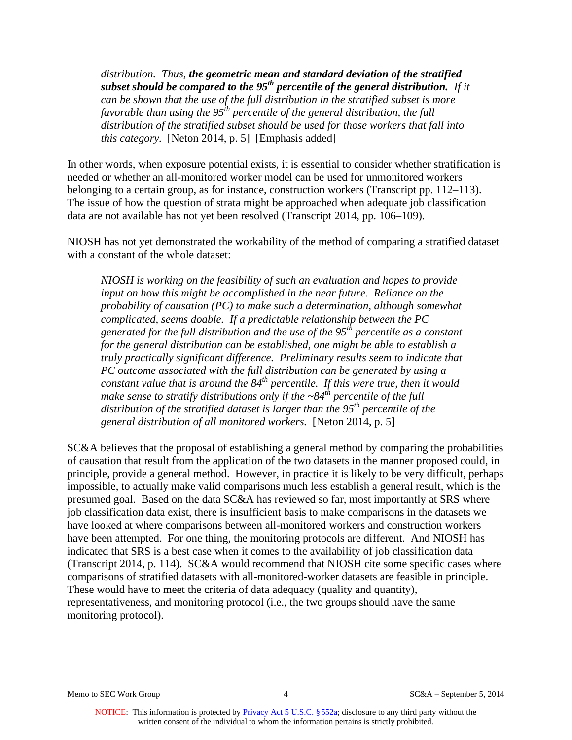*distribution. Thus, the geometric mean and standard deviation of the stratified subset should be compared to the 95th percentile of the general distribution. If it can be shown that the use of the full distribution in the stratified subset is more favorable than using the 95th percentile of the general distribution, the full distribution of the stratified subset should be used for those workers that fall into this category.* [Neton 2014, p. 5] [Emphasis added]

In other words, when exposure potential exists, it is essential to consider whether stratification is needed or whether an all-monitored worker model can be used for unmonitored workers belonging to a certain group, as for instance, construction workers (Transcript pp. 112–113). The issue of how the question of strata might be approached when adequate job classification data are not available has not yet been resolved (Transcript 2014, pp. 106–109).

NIOSH has not yet demonstrated the workability of the method of comparing a stratified dataset with a constant of the whole dataset:

*NIOSH is working on the feasibility of such an evaluation and hopes to provide input on how this might be accomplished in the near future. Reliance on the probability of causation (PC) to make such a determination, although somewhat complicated, seems doable. If a predictable relationship between the PC generated for the full distribution and the use of the 95th percentile as a constant for the general distribution can be established, one might be able to establish a truly practically significant difference. Preliminary results seem to indicate that PC outcome associated with the full distribution can be generated by using a constant value that is around the 84th percentile. If this were true, then it would make sense to stratify distributions only if the ~84th percentile of the full distribution of the stratified dataset is larger than the 95th percentile of the general distribution of all monitored workers.* [Neton 2014, p. 5]

SC&A believes that the proposal of establishing a general method by comparing the probabilities of causation that result from the application of the two datasets in the manner proposed could, in principle, provide a general method. However, in practice it is likely to be very difficult, perhaps impossible, to actually make valid comparisons much less establish a general result, which is the presumed goal. Based on the data SC&A has reviewed so far, most importantly at SRS where job classification data exist, there is insufficient basis to make comparisons in the datasets we have looked at where comparisons between all-monitored workers and construction workers have been attempted. For one thing, the monitoring protocols are different. And NIOSH has indicated that SRS is a best case when it comes to the availability of job classification data (Transcript 2014, p. 114). SC&A would recommend that NIOSH cite some specific cases where comparisons of stratified datasets with all-monitored-worker datasets are feasible in principle. These would have to meet the criteria of data adequacy (quality and quantity), representativeness, and monitoring protocol (i.e., the two groups should have the same monitoring protocol).

Memo to SEC Work Group 1 According to SC&A – September 5, 2014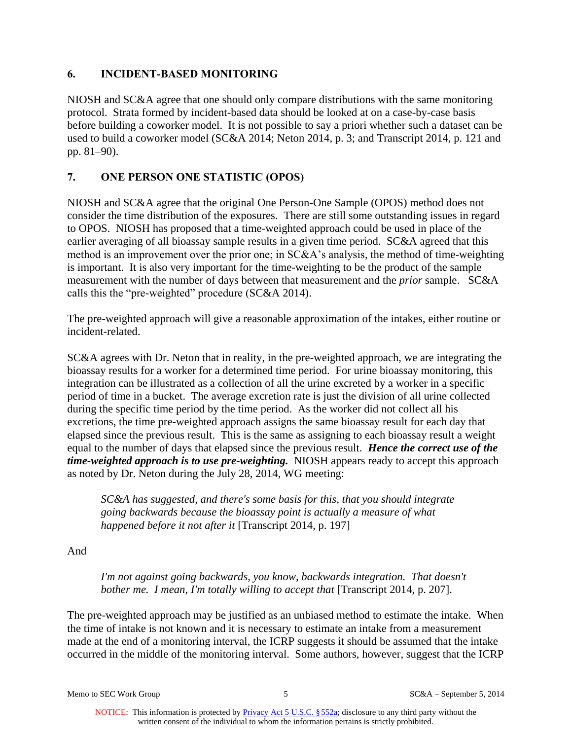### **6. INCIDENT-BASED MONITORING**

NIOSH and SC&A agree that one should only compare distributions with the same monitoring protocol. Strata formed by incident-based data should be looked at on a case-by-case basis before building a coworker model. It is not possible to say a priori whether such a dataset can be used to build a coworker model (SC&A 2014; Neton 2014, p. 3; and Transcript 2014, p. 121 and pp. 81–90).

# **7. ONE PERSON ONE STATISTIC (OPOS)**

NIOSH and SC&A agree that the original One Person-One Sample (OPOS) method does not consider the time distribution of the exposures. There are still some outstanding issues in regard to OPOS. NIOSH has proposed that a time-weighted approach could be used in place of the earlier averaging of all bioassay sample results in a given time period. SC&A agreed that this method is an improvement over the prior one; in SC&A's analysis, the method of time-weighting is important. It is also very important for the time-weighting to be the product of the sample measurement with the number of days between that measurement and the *prior* sample. SC&A calls this the "pre-weighted" procedure (SC&A 2014).

The pre-weighted approach will give a reasonable approximation of the intakes, either routine or incident-related.

SC&A agrees with Dr. Neton that in reality, in the pre-weighted approach, we are integrating the bioassay results for a worker for a determined time period. For urine bioassay monitoring, this integration can be illustrated as a collection of all the urine excreted by a worker in a specific period of time in a bucket. The average excretion rate is just the division of all urine collected during the specific time period by the time period. As the worker did not collect all his excretions, the time pre-weighted approach assigns the same bioassay result for each day that elapsed since the previous result. This is the same as assigning to each bioassay result a weight equal to the number of days that elapsed since the previous result. *Hence the correct use of the time-weighted approach is to use pre-weighting.* NIOSH appears ready to accept this approach as noted by Dr. Neton during the July 28, 2014, WG meeting:

*SC&A has suggested, and there's some basis for this, that you should integrate going backwards because the bioassay point is actually a measure of what happened before it not after it* [Transcript 2014, p. 197]

And

*I'm not against going backwards, you know, backwards integration. That doesn't bother me. I mean, I'm totally willing to accept that* [Transcript 2014, p. 207].

The pre-weighted approach may be justified as an unbiased method to estimate the intake. When the time of intake is not known and it is necessary to estimate an intake from a measurement made at the end of a monitoring interval, the ICRP suggests it should be assumed that the intake occurred in the middle of the monitoring interval. Some authors, however, suggest that the ICRP

Memo to SEC Work Group 5 SC&A – September 5, 2014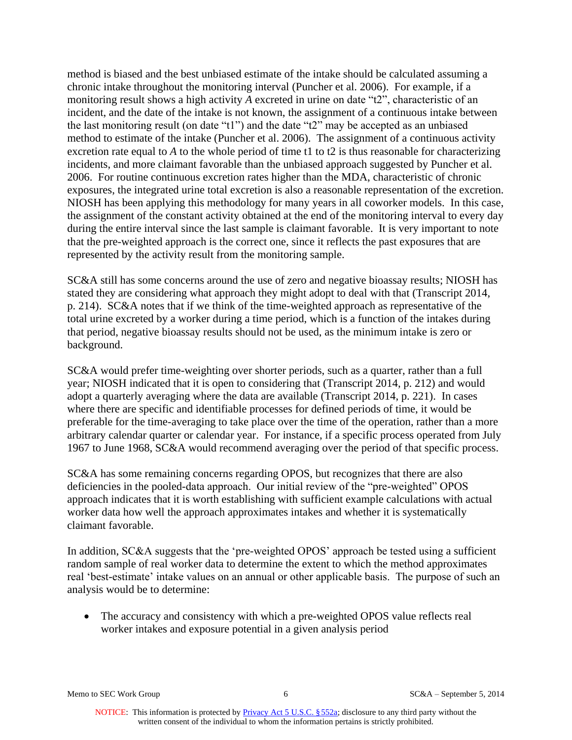method is biased and the best unbiased estimate of the intake should be calculated assuming a chronic intake throughout the monitoring interval (Puncher et al. 2006). For example, if a monitoring result shows a high activity *A* excreted in urine on date "t2", characteristic of an incident, and the date of the intake is not known, the assignment of a continuous intake between the last monitoring result (on date "t1") and the date "t2" may be accepted as an unbiased method to estimate of the intake (Puncher et al. 2006). The assignment of a continuous activity excretion rate equal to *A* to the whole period of time t1 to t2 is thus reasonable for characterizing incidents, and more claimant favorable than the unbiased approach suggested by Puncher et al. 2006. For routine continuous excretion rates higher than the MDA, characteristic of chronic exposures, the integrated urine total excretion is also a reasonable representation of the excretion. NIOSH has been applying this methodology for many years in all coworker models. In this case, the assignment of the constant activity obtained at the end of the monitoring interval to every day during the entire interval since the last sample is claimant favorable. It is very important to note that the pre-weighted approach is the correct one, since it reflects the past exposures that are represented by the activity result from the monitoring sample.

SC&A still has some concerns around the use of zero and negative bioassay results; NIOSH has stated they are considering what approach they might adopt to deal with that (Transcript 2014, p. 214). SC&A notes that if we think of the time-weighted approach as representative of the total urine excreted by a worker during a time period, which is a function of the intakes during that period, negative bioassay results should not be used, as the minimum intake is zero or background.

SC&A would prefer time-weighting over shorter periods, such as a quarter, rather than a full year; NIOSH indicated that it is open to considering that (Transcript 2014, p. 212) and would adopt a quarterly averaging where the data are available (Transcript 2014, p. 221). In cases where there are specific and identifiable processes for defined periods of time, it would be preferable for the time-averaging to take place over the time of the operation, rather than a more arbitrary calendar quarter or calendar year. For instance, if a specific process operated from July 1967 to June 1968, SC&A would recommend averaging over the period of that specific process.

SC&A has some remaining concerns regarding OPOS, but recognizes that there are also deficiencies in the pooled-data approach. Our initial review of the "pre-weighted" OPOS approach indicates that it is worth establishing with sufficient example calculations with actual worker data how well the approach approximates intakes and whether it is systematically claimant favorable.

In addition, SC&A suggests that the 'pre-weighted OPOS' approach be tested using a sufficient random sample of real worker data to determine the extent to which the method approximates real 'best-estimate' intake values on an annual or other applicable basis. The purpose of such an analysis would be to determine:

• The accuracy and consistency with which a pre-weighted OPOS value reflects real worker intakes and exposure potential in a given analysis period

Memo to SEC Work Group 6 SC&A – September 5, 2014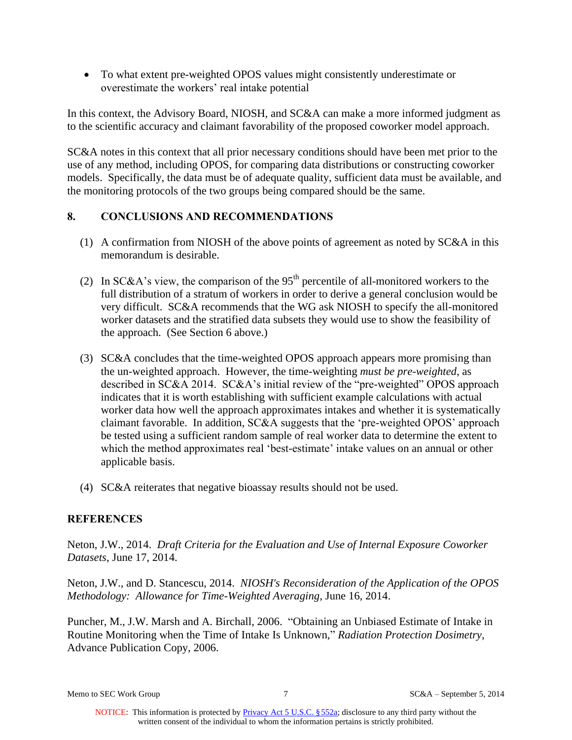To what extent pre-weighted OPOS values might consistently underestimate or overestimate the workers' real intake potential

In this context, the Advisory Board, NIOSH, and SC&A can make a more informed judgment as to the scientific accuracy and claimant favorability of the proposed coworker model approach.

SC&A notes in this context that all prior necessary conditions should have been met prior to the use of any method, including OPOS, for comparing data distributions or constructing coworker models. Specifically, the data must be of adequate quality, sufficient data must be available, and the monitoring protocols of the two groups being compared should be the same.

### **8. CONCLUSIONS AND RECOMMENDATIONS**

- (1) A confirmation from NIOSH of the above points of agreement as noted by SC&A in this memorandum is desirable.
- (2) In SC&A's view, the comparison of the  $95<sup>th</sup>$  percentile of all-monitored workers to the full distribution of a stratum of workers in order to derive a general conclusion would be very difficult. SC&A recommends that the WG ask NIOSH to specify the all-monitored worker datasets and the stratified data subsets they would use to show the feasibility of the approach. (See Section 6 above.)
- (3) SC&A concludes that the time-weighted OPOS approach appears more promising than the un-weighted approach. However, the time-weighting *must be pre-weighted*, as described in SC&A 2014. SC&A's initial review of the "pre-weighted" OPOS approach indicates that it is worth establishing with sufficient example calculations with actual worker data how well the approach approximates intakes and whether it is systematically claimant favorable. In addition, SC&A suggests that the 'pre-weighted OPOS' approach be tested using a sufficient random sample of real worker data to determine the extent to which the method approximates real 'best-estimate' intake values on an annual or other applicable basis.
- (4) SC&A reiterates that negative bioassay results should not be used.

### **REFERENCES**

Neton, J.W., 2014. *Draft Criteria for the Evaluation and Use of Internal Exposure Coworker Datasets*, June 17, 2014.

Neton, J.W., and D. Stancescu, 2014. *NIOSH's Reconsideration of the Application of the OPOS Methodology: Allowance for Time-Weighted Averaging*, June 16, 2014.

Puncher, M., J.W. Marsh and A. Birchall, 2006. "Obtaining an Unbiased Estimate of Intake in Routine Monitoring when the Time of Intake Is Unknown," *Radiation Protection Dosimetry*, Advance Publication Copy, 2006.

Memo to SEC Work Group 7 3 SC&A – September 5, 2014